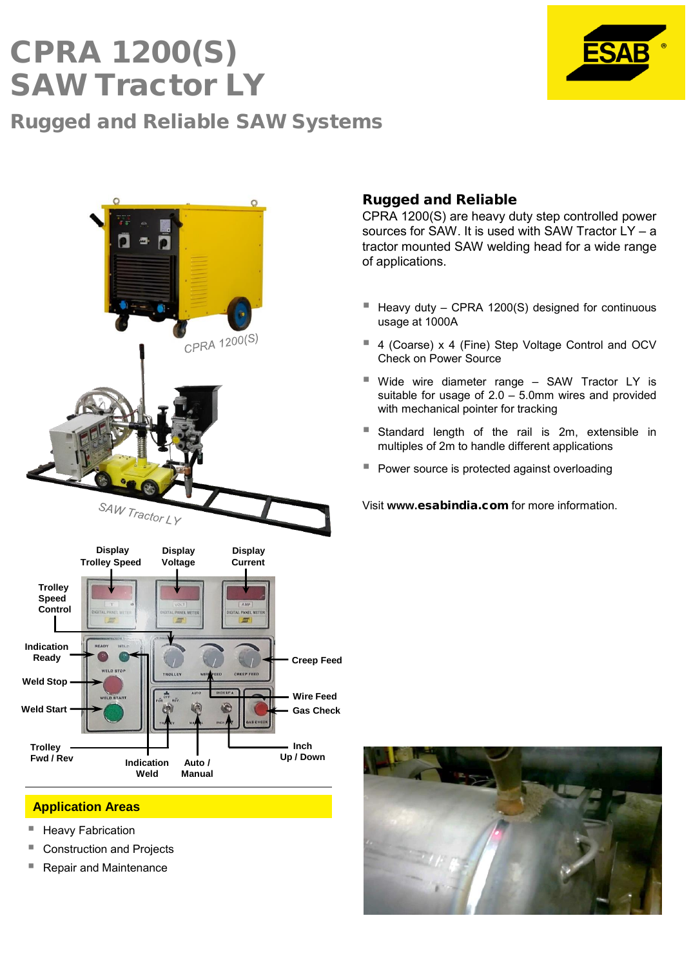## CPRA 1200(S) SAW Tractor LY Rugged and Reliable SAW Systems





## **Application Areas**

- Heavy Fabrication
- Construction and Projects
- Repair and Maintenance

#### Rugged and Reliable

CPRA 1200(S) are heavy duty step controlled power sources for SAW. It is used with SAW Tractor LY – a tractor mounted SAW welding head for a wide range of applications.

- Heavy duty CPRA 1200(S) designed for continuous usage at 1000A
- 4 (Coarse) x 4 (Fine) Step Voltage Control and OCV Check on Power Source
- Wide wire diameter range SAW Tractor LY is suitable for usage of 2.0 – 5.0mm wires and provided with mechanical pointer for tracking
- **Standard length of the rail is 2m, extensible in** multiples of 2m to handle different applications
- **Power source is protected against overloading**

Visit **www.**esabindia.com for more information.

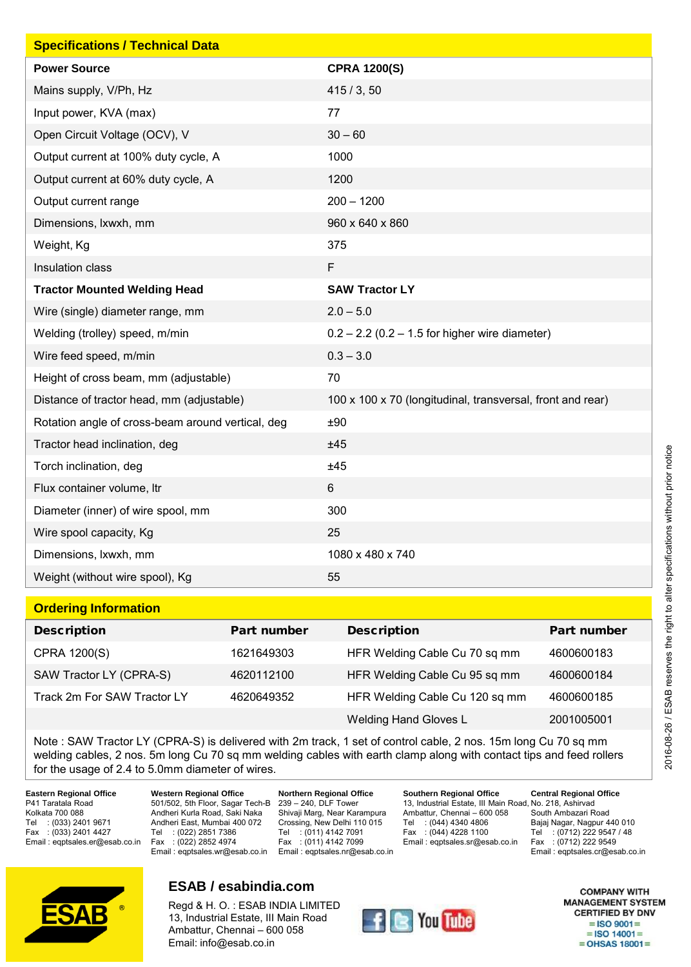| <b>Specifications / Technical Data</b>            |                                                            |
|---------------------------------------------------|------------------------------------------------------------|
| <b>Power Source</b>                               | <b>CPRA 1200(S)</b>                                        |
| Mains supply, V/Ph, Hz                            | 415/3, 50                                                  |
| Input power, KVA (max)                            | 77                                                         |
| Open Circuit Voltage (OCV), V                     | $30 - 60$                                                  |
| Output current at 100% duty cycle, A              | 1000                                                       |
| Output current at 60% duty cycle, A               | 1200                                                       |
| Output current range                              | $200 - 1200$                                               |
| Dimensions, Ixwxh, mm                             | 960 x 640 x 860                                            |
| Weight, Kg                                        | 375                                                        |
| Insulation class                                  | F                                                          |
| <b>Tractor Mounted Welding Head</b>               | <b>SAW Tractor LY</b>                                      |
| Wire (single) diameter range, mm                  | $2.0 - 5.0$                                                |
| Welding (trolley) speed, m/min                    | $0.2 - 2.2$ (0.2 – 1.5 for higher wire diameter)           |
| Wire feed speed, m/min                            | $0.3 - 3.0$                                                |
| Height of cross beam, mm (adjustable)             | 70                                                         |
| Distance of tractor head, mm (adjustable)         | 100 x 100 x 70 (longitudinal, transversal, front and rear) |
| Rotation angle of cross-beam around vertical, deg | ±90                                                        |
| Tractor head inclination, deg                     | ±45                                                        |
| Torch inclination, deg                            | ±45                                                        |
| Flux container volume, Itr                        | $\,6$                                                      |
| Diameter (inner) of wire spool, mm                | 300                                                        |
| Wire spool capacity, Kg                           | 25                                                         |
| Dimensions, Ixwxh, mm                             | 1080 x 480 x 740                                           |
| Weight (without wire spool), Kg                   | 55                                                         |

#### **Ordering Information**

| <u> 1988 - 1998 - 1999 - 1999 - 1999 - 1999 - 1999 - 1999 - 1999 - 1999 - 1999 - 1999 - 1999 - 1999 - 1999 - 199</u> |             |                                |             |
|----------------------------------------------------------------------------------------------------------------------|-------------|--------------------------------|-------------|
| Description                                                                                                          | Part number | Description                    | Part number |
| CPRA 1200(S)                                                                                                         | 1621649303  | HFR Welding Cable Cu 70 sq mm  | 4600600183  |
| SAW Tractor LY (CPRA-S)                                                                                              | 4620112100  | HFR Welding Cable Cu 95 sq mm  | 4600600184  |
| Track 2m For SAW Tractor LY                                                                                          | 4620649352  | HFR Welding Cable Cu 120 sq mm | 4600600185  |
|                                                                                                                      |             | <b>Welding Hand Gloves L</b>   | 2001005001  |

Note : SAW Tractor LY (CPRA-S) is delivered with 2m track, 1 set of control cable, 2 nos. 15m long Cu 70 sq mm welding cables, 2 nos. 5m long Cu 70 sq mm welding cables with earth clamp along with contact tips and feed rollers for the usage of 2.4 to 5.0mm diameter of wires.

**Eastern Regional Office** P41 Taratala Road Kolkata 700 088 Tel : (033) 2401 9671<br>Fax : (033) 2401 4427  $:(033)$  2401 4427 Email : eqptsales.er@esab.co.in

**Western Regional Office** 501/502, 5th Floor, Sagar Tech-B 239 – 240, DLF Tower Andheri Kurla Road, Saki Naka Andheri East, Mumbai 400 072 Tel : (022) 2851 7386 Fax : (022) 2852 4974 Email : eqptsales.wr@esab.co.in

**Northern Regional Office** Shivaji Marg, Near Karampura Crossing, New Delhi 110 015 Tel : (011) 4142 7091 Fax :  $(011)$  4142 7099 Email : eqptsales.nr@esab.co.in

**Southern Regional Office** 13, Industrial Estate, III Main Road, No. 218, Ashirvad Ambattur, Chennai – 600 058 Tel : (044) 4340 4806<br>Fax : (044) 4228 1100  $: (044)$  4228 1100 Email : eqptsales.sr@esab.co.in

**Central Regional Office** South Ambazari Road Bajaj Nagar, Nagpur 440 010 Tel : (0712) 222 9547 / 48 Fax : (0712) 222 9549 Email : eqptsales.cr@esab.co.in



## **ESAB / esabindia.com**

Regd & H. O. : ESAB INDIA LIMITED 13, Industrial Estate, III Main Road Ambattur, Chennai – 600 058 Email: info@esab.co.in



**COMPANY WITH MANAGEMENT SYSTEM CERTIFIED BY DNV**  $=$ ISO 9001 $=$  $=$  ISO 14001 $=$  $=$  OHSAS 18001 $=$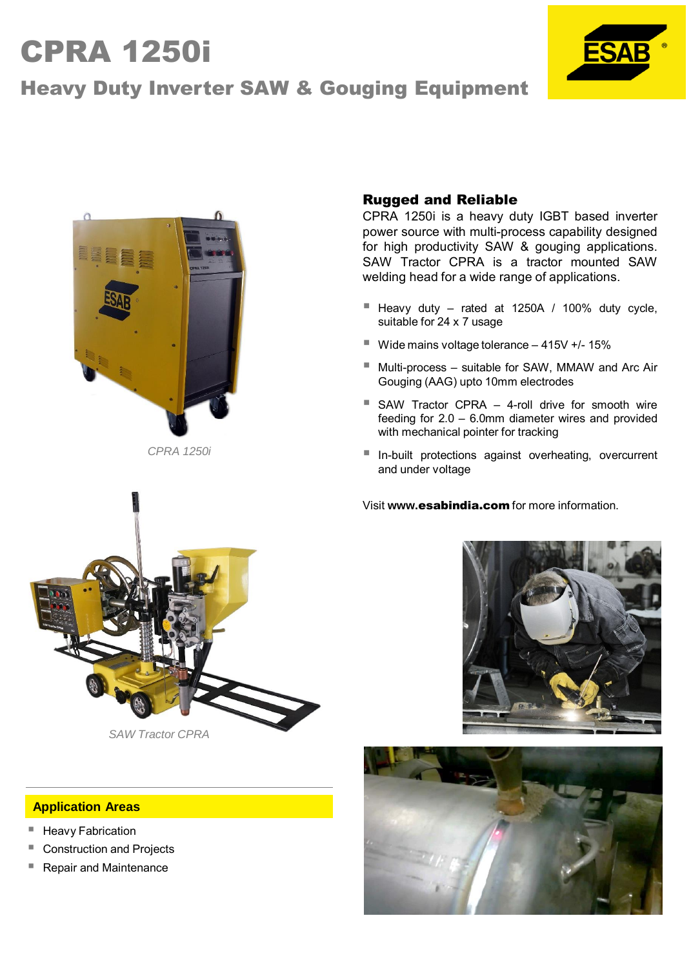# CPRA 1250i







*CPRA 1250i*

### Rugged and Reliable

CPRA 1250i is a heavy duty IGBT based inverter power source with multi-process capability designed for high productivity SAW & gouging applications. SAW Tractor CPRA is a tractor mounted SAW welding head for a wide range of applications.

- Heavy duty rated at 1250A / 100% duty cycle, suitable for 24 x 7 usage
- $\blacksquare$  Wide mains voltage tolerance  $-$  415V +/- 15%
- Multi-process suitable for SAW, MMAW and Arc Air Gouging (AAG) upto 10mm electrodes
- SAW Tractor CPRA 4-roll drive for smooth wire feeding for 2.0 – 6.0mm diameter wires and provided with mechanical pointer for tracking
- In-built protections against overheating, overcurrent and under voltage

Visit **www.**esabindia.com for more information.







#### **Application Areas**

- Heavy Fabrication
- Construction and Projects
- Repair and Maintenance